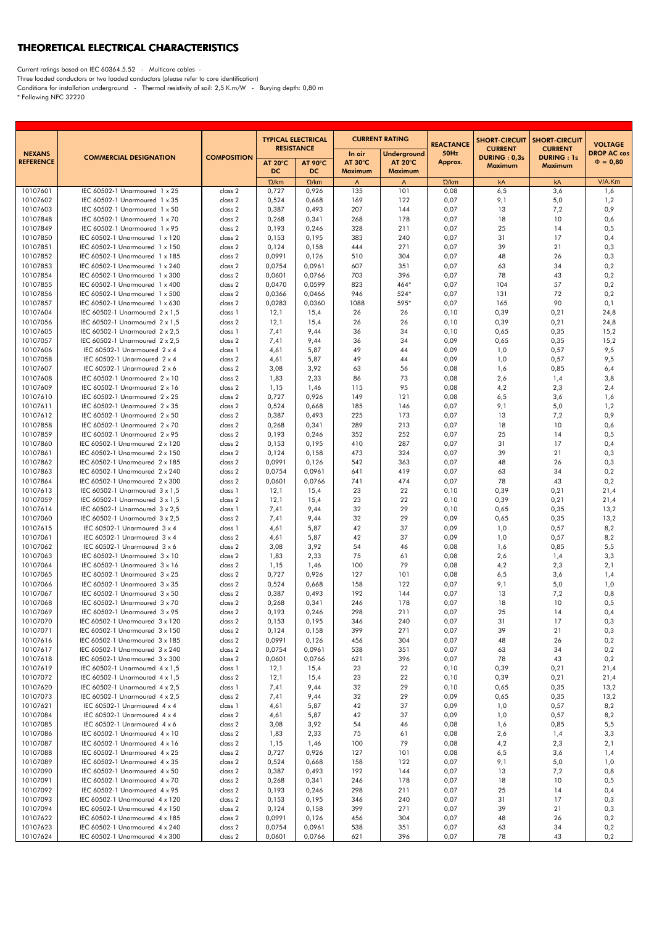## THEORETICAL ELECTRICAL CHARACTERISTICS

Current ratings based on IEC 60364.5.52 - Multicore cables -

Three loaded conductors or two loaded conductors (please refer to core identification)

Conditions for installation underground - Thermal resistivity of soil: 2,5 K.m/W - Burying depth: 0,80 m

\* Following NFC 32220

|                                   |                                                                  |                    | <b>TYPICAL ELECTRICAL</b><br><b>RESISTANCE</b> |                          | <b>CURRENT RATING</b>        |                                                   | <b>REACTANCE</b> | <b>SHORT-CIRCUIT</b>                             | <b>SHORT-CIRCUIT</b>                                  | <b>VOLTAGE</b>                      |
|-----------------------------------|------------------------------------------------------------------|--------------------|------------------------------------------------|--------------------------|------------------------------|---------------------------------------------------|------------------|--------------------------------------------------|-------------------------------------------------------|-------------------------------------|
| <b>NEXANS</b><br><b>REFERENCE</b> | <b>COMMERCIAL DESIGNATION</b>                                    | <b>COMPOSITION</b> | AT 20°C                                        | <b>AT 90°C</b>           | In air<br>AT 30°C<br>Maximum | <b>Underground</b><br>$AT 20^{\circ}C$<br>Maximum | 50Hz<br>Approx.  | <b>CURRENT</b><br>DURING: 0,3s<br><b>Maximum</b> | <b>CURRENT</b><br><b>DURING: 1s</b><br><b>Maximum</b> | <b>DROP AC cos</b><br>$\Phi = 0.80$ |
|                                   |                                                                  |                    | DC<br>$\Omega$ /km                             | <b>DC</b><br>$\Omega/km$ | $\mathsf{A}$                 | A                                                 | $\Omega$ /km     | kA                                               | kA                                                    | V/A.Km                              |
| 10107601                          | IEC 60502-1 Unarmoured 1 x 25                                    | class 2            | 0,727                                          | 0,926                    | 135                          | 101                                               | 0,08             | 6, 5                                             | 3,6                                                   | 1,6                                 |
| 10107602                          | IEC 60502-1 Unarmoured 1 x 35                                    | class 2            | 0,524                                          | 0,668                    | 169                          | 122                                               | 0,07             | 9,1                                              | 5,0                                                   | 1,2                                 |
| 10107603                          | IEC 60502-1 Unarmoured 1 x 50                                    | class 2            | 0,387                                          | 0,493                    | 207                          | 144                                               | 0,07             | 13                                               | 7,2                                                   | 0,9                                 |
| 10107848<br>10107849              | IEC 60502-1 Unarmoured 1 x 70                                    | class 2<br>class 2 | 0,268<br>0,193                                 | 0,341                    | 268<br>328                   | 178<br>211                                        | 0,07             | 18<br>25                                         | 10<br>14                                              | 0,6<br>0,5                          |
| 10107850                          | IEC 60502-1 Unarmoured 1 x 95<br>IEC 60502-1 Unarmoured 1 x 120  | class 2            | 0,153                                          | 0,246<br>0,195           | 383                          | 240                                               | 0,07<br>0,07     | 31                                               | 17                                                    | 0,4                                 |
| 10107851                          | IEC 60502-1 Unarmoured 1 x 150                                   | class 2            | 0,124                                          | 0,158                    | 444                          | 271                                               | 0,07             | 39                                               | 21                                                    | 0,3                                 |
| 10107852                          | IEC 60502-1 Unarmoured 1 x 185                                   | class 2            | 0,0991                                         | 0,126                    | 510                          | 304                                               | 0,07             | 48                                               | 26                                                    | 0,3                                 |
| 10107853                          | IEC 60502-1 Unarmoured 1 x 240                                   | class 2            | 0,0754                                         | 0,0961                   | 607                          | 351                                               | 0,07             | 63                                               | 34                                                    | 0,2                                 |
| 10107854                          | IEC 60502-1 Unarmoured 1 x 300                                   | class 2            | 0,0601                                         | 0,0766                   | 703                          | 396                                               | 0,07             | 78                                               | 43                                                    | 0,2                                 |
| 10107855<br>10107856              | IEC 60502-1 Unarmoured 1 x 400                                   | class 2            | 0,0470                                         | 0,0599                   | 823                          | 464*<br>524*                                      | 0,07             | 104<br>131                                       | 57<br>72                                              | 0,2                                 |
| 10107857                          | IEC 60502-1 Unarmoured 1 x 500<br>IEC 60502-1 Unarmoured 1 x 630 | class 2<br>class 2 | 0,0366<br>0,0283                               | 0,0466<br>0,0360         | 946<br>1088                  | 595*                                              | 0,07<br>0,07     | 165                                              | 90                                                    | 0,2<br>0,1                          |
| 10107604                          | IEC 60502-1 Unarmoured 2 x 1,5                                   | class 1            | 12,1                                           | 15,4                     | 26                           | 26                                                | 0,10             | 0,39                                             | 0,21                                                  | 24,8                                |
| 10107056                          | IEC 60502-1 Unarmoured 2 x 1,5                                   | class 2            | 12,1                                           | 15,4                     | 26                           | 26                                                | 0,10             | 0,39                                             | 0,21                                                  | 24,8                                |
| 10107605                          | IEC 60502-1 Unarmoured 2 x 2,5                                   | class 1            | 7,41                                           | 9,44                     | 36                           | 34                                                | 0,10             | 0,65                                             | 0,35                                                  | 15,2                                |
| 10107057                          | IEC 60502-1 Unarmoured 2 x 2,5                                   | class 2            | 7,41                                           | 9,44                     | 36                           | 34                                                | 0,09             | 0,65                                             | 0,35                                                  | 15,2                                |
| 10107606                          | IEC 60502-1 Unarmoured 2 x 4                                     | class 1            | 4,61                                           | 5,87                     | 49                           | 44                                                | 0,09             | 1,0                                              | 0,57                                                  | 9,5                                 |
| 10107058<br>10107607              | IEC 60502-1 Unarmoured 2 x 4<br>IEC 60502-1 Unarmoured 2 x 6     | class 2<br>class 2 | 4,61<br>3,08                                   | 5,87<br>3,92             | 49<br>63                     | 44<br>56                                          | 0,09<br>0,08     | 1,0<br>1,6                                       | 0,57<br>0,85                                          | 9,5<br>6,4                          |
| 10107608                          | IEC 60502-1 Unarmoured 2 x 10                                    | class 2            | 1,83                                           | 2,33                     | 86                           | 73                                                | 0,08             | 2,6                                              | 1,4                                                   | 3,8                                 |
| 10107609                          | IEC 60502-1 Unarmoured 2 x 16                                    | class 2            | 1,15                                           | 1,46                     | 115                          | 95                                                | 0,08             | 4,2                                              | 2,3                                                   | 2,4                                 |
| 10107610                          | IEC 60502-1 Unarmoured 2 x 25                                    | class 2            | 0,727                                          | 0,926                    | 149                          | 121                                               | 0,08             | 6,5                                              | 3,6                                                   | 1,6                                 |
| 10107611                          | IEC 60502-1 Unarmoured 2 x 35                                    | class 2            | 0,524                                          | 0,668                    | 185                          | 146                                               | 0,07             | 9,1                                              | 5,0                                                   | 1,2                                 |
| 10107612                          | IEC 60502-1 Unarmoured 2 x 50                                    | class 2            | 0,387                                          | 0,493                    | 225                          | 173                                               | 0,07             | 13                                               | 7,2                                                   | 0,9                                 |
| 10107858                          | IEC 60502-1 Unarmoured 2 x 70                                    | class 2            | 0,268                                          | 0,341                    | 289                          | 213                                               | 0,07             | 18                                               | 10                                                    | 0,6                                 |
| 10107859<br>10107860              | IEC 60502-1 Unarmoured 2 x 95<br>IEC 60502-1 Unarmoured 2 x 120  | class 2<br>class 2 | 0,193<br>0,153                                 | 0,246<br>0,195           | 352<br>410                   | 252<br>287                                        | 0,07<br>0,07     | 25<br>31                                         | 14<br>17                                              | 0,5<br>0,4                          |
| 10107861                          | IEC 60502-1 Unarmoured 2 x 150                                   | class 2            | 0,124                                          | 0,158                    | 473                          | 324                                               | 0,07             | 39                                               | 21                                                    | 0,3                                 |
| 10107862                          | IEC 60502-1 Unarmoured 2 x 185                                   | class 2            | 0,0991                                         | 0,126                    | 542                          | 363                                               | 0,07             | 48                                               | 26                                                    | 0,3                                 |
| 10107863                          | IEC 60502-1 Unarmoured 2 x 240                                   | class 2            | 0,0754                                         | 0,0961                   | 641                          | 419                                               | 0,07             | 63                                               | 34                                                    | 0,2                                 |
| 10107864                          | IEC 60502-1 Unarmoured 2 x 300                                   | class 2            | 0,0601                                         | 0,0766                   | 741                          | 474                                               | 0,07             | 78                                               | 43                                                    | 0,2                                 |
| 10107613                          | IEC 60502-1 Unarmoured 3 x 1,5                                   | class 1            | 12,1                                           | 15,4                     | 23                           | 22                                                | 0,10             | 0,39                                             | 0,21                                                  | 21,4                                |
| 10107059<br>10107614              | IEC 60502-1 Unarmoured 3 x 1,5<br>IEC 60502-1 Unarmoured 3 x 2,5 | class 2<br>class 1 | 12,1<br>7,41                                   | 15,4<br>9,44             | 23<br>32                     | 22<br>29                                          | 0,10<br>0,10     | 0,39<br>0,65                                     | 0,21<br>0,35                                          | 21,4<br>13,2                        |
| 10107060                          | IEC 60502-1 Unarmoured 3 x 2,5                                   | class 2            | 7,41                                           | 9,44                     | 32                           | 29                                                | 0,09             | 0,65                                             | 0,35                                                  | 13,2                                |
| 10107615                          | IEC 60502-1 Unarmoured 3 x 4                                     | class 1            | 4,61                                           | 5,87                     | 42                           | 37                                                | 0,09             | 1,0                                              | 0,57                                                  | 8,2                                 |
| 10107061                          | IEC 60502-1 Unarmoured 3 x 4                                     | class 2            | 4,61                                           | 5,87                     | 42                           | 37                                                | 0,09             | 1,0                                              | 0,57                                                  | 8,2                                 |
| 10107062                          | IEC 60502-1 Unarmoured 3 x 6                                     | class 2            | 3,08                                           | 3,92                     | 54                           | 46                                                | 0,08             | 1,6                                              | 0,85                                                  | 5,5                                 |
| 10107063                          | IEC 60502-1 Unarmoured 3 x 10                                    | class 2            | 1,83                                           | 2,33                     | 75                           | 61                                                | 0,08             | 2,6                                              | 1,4                                                   | 3,3                                 |
| 10107064<br>10107065              | IEC 60502-1 Unarmoured 3 x 16<br>IEC 60502-1 Unarmoured 3 x 25   | class 2<br>class 2 | 1,15<br>0,727                                  | 1,46<br>0,926            | 100<br>127                   | 79<br>101                                         | 0,08<br>0,08     | 4,2<br>6,5                                       | 2,3<br>3,6                                            | 2,1<br>1,4                          |
| 10107066                          | IEC 60502-1 Unarmoured 3 x 35                                    | class 2            | 0,524                                          | 0,668                    | 158                          | 122                                               | 0,07             | 9,1                                              | 5,0                                                   | 1,0                                 |
| 10107067                          | IEC 60502-1 Unarmoured 3 x 50                                    | class 2            | 0,387                                          | 0,493                    | 192                          | 144                                               | 0,07             | 13                                               | 7,2                                                   | 0,8                                 |
| 10107068                          | IEC 60502-1 Unarmoured 3 x 70                                    | class 2            | 0,268                                          | 0,341                    | 246                          | 178                                               | 0,07             | 18                                               | 10                                                    | 0,5                                 |
| 10107069                          | IEC 60502-1 Unarmoured 3 x 95                                    | class 2            | 0,193                                          | 0,246                    | 298                          | 211                                               | 0,07             | 25                                               | 14                                                    | 0,4                                 |
| 10107070                          | IEC 60502-1 Unarmoured 3 x 120                                   | class 2            | 0,153                                          | 0,195                    | 346                          | 240                                               | 0,07             | 31                                               | 17                                                    | 0,3                                 |
| 10107071<br>10107616              | IEC 60502-1 Unarmoured 3 x 150<br>IEC 60502-1 Unarmoured 3 x 185 | class 2<br>class 2 | 0,124<br>0,0991                                | 0,158<br>0,126           | 399<br>456                   | 271<br>304                                        | 0,07<br>0,07     | 39<br>48                                         | 21<br>26                                              | 0,3<br>0,2                          |
| 10107617                          | IEC 60502-1 Unarmoured 3 x 240                                   | class 2            | 0,0754                                         | 0,0961                   | 538                          | 351                                               | 0,07             | 63                                               | 34                                                    | 0,2                                 |
| 10107618                          | IEC 60502-1 Unarmoured 3 x 300                                   | class 2            | 0,0601                                         | 0,0766                   | 621                          | 396                                               | 0,07             | 78                                               | 43                                                    | 0,2                                 |
| 10107619                          | IEC 60502-1 Unarmoured 4 x 1,5                                   | class 1            | 12,1                                           | 15,4                     | 23                           | 22                                                | 0,10             | 0,39                                             | 0,21                                                  | 21,4                                |
| 10107072                          | IEC 60502-1 Unarmoured 4 x 1,5                                   | class 2            | 12,1                                           | 15,4                     | 23                           | 22                                                | 0,10             | 0,39                                             | 0,21                                                  | 21,4                                |
| 10107620                          | IEC 60502-1 Unarmoured 4 x 2,5                                   | class 1            | 7,41                                           | 9,44                     | 32                           | 29                                                | 0,10             | 0,65                                             | 0,35                                                  | 13,2                                |
| 10107073                          | IEC 60502-1 Unarmoured 4 x 2,5                                   | class 2            | 7,41                                           | 9,44                     | 32                           | 29                                                | 0,09             | 0,65                                             | 0,35                                                  | 13,2                                |
| 10107621<br>10107084              | IEC 60502-1 Unarmoured 4 x 4<br>IEC 60502-1 Unarmoured 4 x 4     | class 1<br>class 2 | 4,61<br>4,61                                   | 5,87<br>5,87             | 42<br>42                     | 37<br>37                                          | 0,09<br>0,09     | 1,0<br>1,0                                       | 0,57<br>0,57                                          | 8,2<br>8,2                          |
| 10107085                          | IEC 60502-1 Unarmoured 4 x 6                                     | class 2            | 3,08                                           | 3,92                     | 54                           | 46                                                | 0,08             | 1,6                                              | 0,85                                                  | 5,5                                 |
| 10107086                          | IEC 60502-1 Unarmoured 4 x 10                                    | class 2            | 1,83                                           | 2,33                     | 75                           | 61                                                | 0,08             | 2,6                                              | 1,4                                                   | 3,3                                 |
| 10107087                          | IEC 60502-1 Unarmoured 4 x 16                                    | class 2            | 1,15                                           | 1,46                     | 100                          | 79                                                | 0,08             | 4,2                                              | 2,3                                                   | 2,1                                 |
| 10107088                          | IEC 60502-1 Unarmoured 4 x 25                                    | class 2            | 0,727                                          | 0,926                    | 127                          | 101                                               | 0,08             | 6,5                                              | 3,6                                                   | 1,4                                 |
| 10107089                          | IEC 60502-1 Unarmoured 4 x 35                                    | class 2            | 0,524                                          | 0,668                    | 158                          | 122                                               | 0,07             | 9,1                                              | 5,0                                                   | 1,0                                 |
| 10107090                          | IEC 60502-1 Unarmoured 4 x 50                                    | class 2            | 0,387                                          | 0,493                    | 192                          | 144                                               | 0,07             | 13                                               | 7,2                                                   | 0,8                                 |
| 10107091<br>10107092              | IEC 60502-1 Unarmoured 4 x 70<br>IEC 60502-1 Unarmoured 4 x 95   | class 2<br>class 2 | 0,268<br>0,193                                 | 0,341<br>0,246           | 246<br>298                   | 178<br>211                                        | 0,07<br>0,07     | 18<br>25                                         | 10<br>14                                              | 0,5<br>0,4                          |
| 10107093                          | IEC 60502-1 Unarmoured 4 x 120                                   | class 2            | 0,153                                          | 0,195                    | 346                          | 240                                               | 0,07             | 31                                               | 17                                                    | 0,3                                 |
| 10107094                          | IEC 60502-1 Unarmoured 4 x 150                                   | class 2            | 0,124                                          | 0,158                    | 399                          | 271                                               | 0,07             | 39                                               | 21                                                    | 0,3                                 |
| 10107622                          | IEC 60502-1 Unarmoured 4 x 185                                   | class 2            | 0,0991                                         | 0,126                    | 456                          | 304                                               | 0,07             | 48                                               | 26                                                    | 0,2                                 |
| 10107623                          | IEC 60502-1 Unarmoured 4 x 240                                   | class 2            | 0,0754                                         | 0,0961                   | 538                          | 351                                               | 0,07             | 63                                               | 34                                                    | 0,2                                 |
| 10107624                          | IEC 60502-1 Unarmoured 4 x 300                                   | class 2            | 0,0601                                         | 0,0766                   | 621                          | 396                                               | 0,07             | 78                                               | 43                                                    | 0,2                                 |